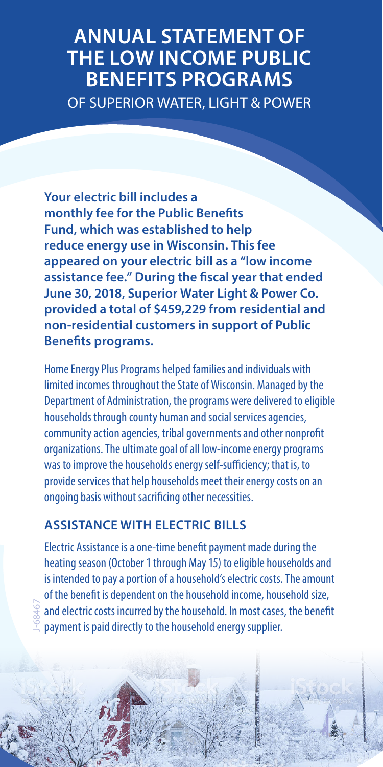# **ANNUAL STATEMENT OF THE LOW INCOME PUBLIC BENEFITS PROGRAMS** OF SUPERIOR WATER, LIGHT & POWER

**Your electric bill includes a monthly fee for the Public Benefits Fund, which was established to help reduce energy use in Wisconsin. This fee appeared on your electric bill as a "low income assistance fee." During the fiscal year that ended June 30, 2018, Superior Water Light & Power Co. provided a total of \$459,229 from residential and non-residential customers in support of Public Benefits programs.**

Home Energy Plus Programs helped families and individuals with limited incomes throughout the State of Wisconsin. Managed by the Department of Administration, the programs were delivered to eligible households through county human and social services agencies, community action agencies, tribal governments and other nonprofit organizations. The ultimate goal of all low-income energy programs was to improve the households energy self-sufficiency; that is, to provide services that help households meet their energy costs on an ongoing basis without sacrificing other necessities.

### **ASSISTANCE WITH ELECTRIC BILLS**

J-68467

Electric Assistance is a one-time benefit payment made during the heating season (October 1 through May 15) to eligible households and is intended to pay a portion of a household's electric costs. The amount of the benefit is dependent on the household income, household size, and electric costs incurred by the household. In most cases, the benefit payment is paid directly to the household energy supplier.